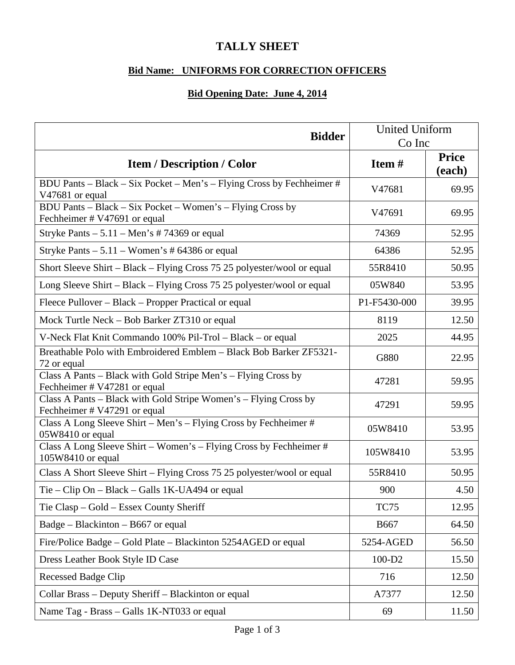## **TALLY SHEET**

## **Bid Name: UNIFORMS FOR CORRECTION OFFICERS**

## **Bid Opening Date: June 4, 2014**

| <b>Bidder</b>                                                                                    | <b>United Uniform</b><br>Co Inc |                        |
|--------------------------------------------------------------------------------------------------|---------------------------------|------------------------|
| <b>Item / Description / Color</b>                                                                | Item#                           | <b>Price</b><br>(each) |
| BDU Pants - Black - Six Pocket - Men's - Flying Cross by Fechheimer #<br>V47681 or equal         | V47681                          | 69.95                  |
| BDU Pants – Black – Six Pocket – Women's – Flying Cross by<br>Fechheimer # V47691 or equal       | V47691                          | 69.95                  |
| Stryke Pants $-5.11 -$ Men's #74369 or equal                                                     | 74369                           | 52.95                  |
| Stryke Pants $-5.11 -$ Women's # 64386 or equal                                                  | 64386                           | 52.95                  |
| Short Sleeve Shirt – Black – Flying Cross 75 25 polyester/wool or equal                          | 55R8410                         | 50.95                  |
| Long Sleeve Shirt – Black – Flying Cross 75 25 polyester/wool or equal                           | 05W840                          | 53.95                  |
| Fleece Pullover – Black – Propper Practical or equal                                             | P1-F5430-000                    | 39.95                  |
| Mock Turtle Neck – Bob Barker ZT310 or equal                                                     | 8119                            | 12.50                  |
| V-Neck Flat Knit Commando 100% Pil-Trol - Black - or equal                                       | 2025                            | 44.95                  |
| Breathable Polo with Embroidered Emblem - Black Bob Barker ZF5321-<br>72 or equal                | G880                            | 22.95                  |
| Class A Pants – Black with Gold Stripe Men's – Flying Cross by<br>Fechheimer # V47281 or equal   | 47281                           | 59.95                  |
| Class A Pants - Black with Gold Stripe Women's - Flying Cross by<br>Fechheimer # V47291 or equal | 47291                           | 59.95                  |
| Class A Long Sleeve Shirt - Men's - Flying Cross by Fechheimer #<br>05W8410 or equal             | 05W8410                         | 53.95                  |
| Class A Long Sleeve Shirt - Women's - Flying Cross by Fechheimer #<br>105W8410 or equal          | 105W8410                        | 53.95                  |
| Class A Short Sleeve Shirt – Flying Cross 75 25 polyester/wool or equal                          | 55R8410                         | 50.95                  |
| Tie – Clip On – Black – Galls $1K-UA494$ or equal                                                | 900                             | 4.50                   |
| Tie Clasp – Gold – Essex County Sheriff                                                          | <b>TC75</b>                     | 12.95                  |
| $Badge - Blackinton - B667$ or equal                                                             | <b>B667</b>                     | 64.50                  |
| Fire/Police Badge - Gold Plate - Blackinton 5254AGED or equal                                    | 5254-AGED                       | 56.50                  |
| Dress Leather Book Style ID Case                                                                 | 100-D2                          | 15.50                  |
| <b>Recessed Badge Clip</b>                                                                       | 716                             | 12.50                  |
| Collar Brass - Deputy Sheriff - Blackinton or equal                                              | A7377                           | 12.50                  |
| Name Tag - Brass - Galls 1K-NT033 or equal                                                       | 69                              | 11.50                  |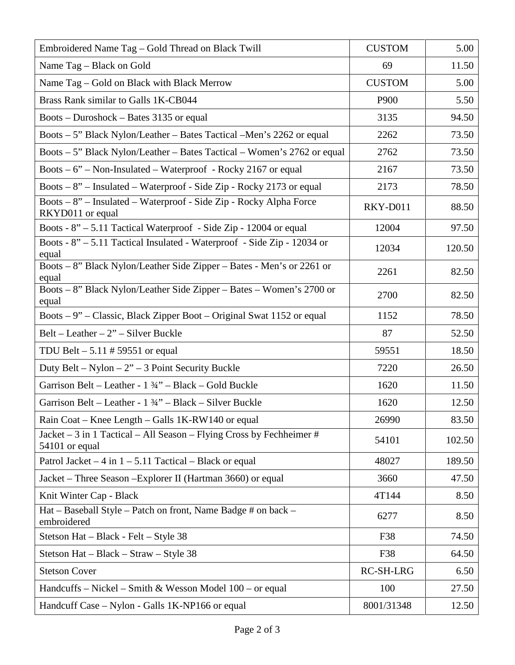| Embroidered Name Tag - Gold Thread on Black Twill                                      | <b>CUSTOM</b> | 5.00   |
|----------------------------------------------------------------------------------------|---------------|--------|
| Name Tag - Black on Gold                                                               | 69            | 11.50  |
| Name Tag - Gold on Black with Black Merrow                                             | <b>CUSTOM</b> | 5.00   |
| Brass Rank similar to Galls 1K-CB044                                                   | P900          | 5.50   |
| Boots – Duroshock – Bates 3135 or equal                                                | 3135          | 94.50  |
| Boots – 5" Black Nylon/Leather – Bates Tactical – Men's 2262 or equal                  | 2262          | 73.50  |
| Boots – 5" Black Nylon/Leather – Bates Tactical – Women's 2762 or equal                | 2762          | 73.50  |
| Boots $-6$ " – Non-Insulated – Waterproof - Rocky 2167 or equal                        | 2167          | 73.50  |
| Boots $-8$ " – Insulated – Waterproof - Side Zip - Rocky 2173 or equal                 | 2173          | 78.50  |
| Boots – 8" – Insulated – Waterproof - Side Zip - Rocky Alpha Force<br>RKYD011 or equal | RKY-D011      | 88.50  |
| Boots - $8'' - 5.11$ Tactical Waterproof - Side Zip - 12004 or equal                   | 12004         | 97.50  |
| Boots - 8" - 5.11 Tactical Insulated - Waterproof - Side Zip - 12034 or<br>equal       | 12034         | 120.50 |
| Boots – 8" Black Nylon/Leather Side Zipper – Bates - Men's or 2261 or<br>equal         | 2261          | 82.50  |
| Boots - 8" Black Nylon/Leather Side Zipper - Bates - Women's 2700 or<br>equal          | 2700          | 82.50  |
| Boots – 9" – Classic, Black Zipper Boot – Original Swat 1152 or equal                  | 1152          | 78.50  |
| Belt – Leather – $2"$ – Silver Buckle                                                  | 87            | 52.50  |
| TDU Belt $-5.11 \# 59551$ or equal                                                     | 59551         | 18.50  |
| Duty Belt – Nylon – $2^{\prime\prime}$ – 3 Point Security Buckle                       | 7220          | 26.50  |
| Garrison Belt – Leather - 1 3⁄4" – Black – Gold Buckle                                 | 1620          | 11.50  |
| Garrison Belt - Leather - 1 34" - Black - Silver Buckle                                | 1620          | 12.50  |
| Rain Coat – Knee Length – Galls 1K-RW140 or equal                                      | 26990         | 83.50  |
| Jacket – 3 in 1 Tactical – All Season – Flying Cross by Fechheimer #<br>54101 or equal | 54101         | 102.50 |
| Patrol Jacket $-4$ in $1 - 5.11$ Tactical $-$ Black or equal                           | 48027         | 189.50 |
| Jacket – Three Season – Explorer II (Hartman 3660) or equal                            | 3660          | 47.50  |
| Knit Winter Cap - Black                                                                | 4T144         | 8.50   |
| Hat - Baseball Style - Patch on front, Name Badge # on back -<br>embroidered           | 6277          | 8.50   |
| Stetson Hat - Black - Felt - Style 38                                                  | F38           | 74.50  |
| Stetson Hat – Black – Straw – Style 38                                                 | F38           | 64.50  |
| <b>Stetson Cover</b>                                                                   | RC-SH-LRG     | 6.50   |
| Handcuffs – Nickel – Smith & Wesson Model $100$ – or equal                             | 100           | 27.50  |
| Handcuff Case - Nylon - Galls 1K-NP166 or equal                                        | 8001/31348    | 12.50  |